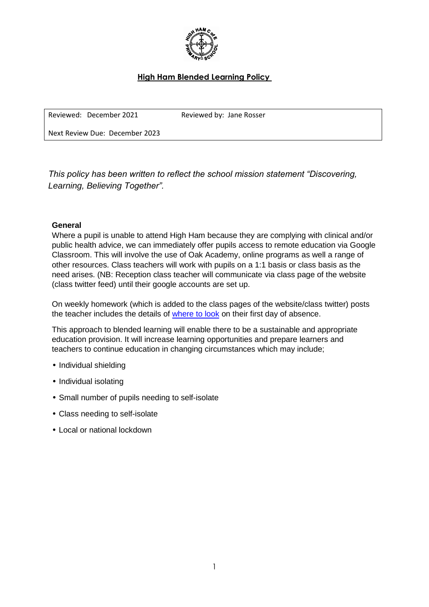

# **High Ham Blended Learning Policy**

Reviewed: December 2021 Reviewed by: Jane Rosser

Next Review Due: December 2023

*This policy has been written to reflect the school mission statement "Discovering, Learning, Believing Together".*

### **General**

Where a pupil is unable to attend High Ham because they are complying with clinical and/or public health advice, we can immediately offer pupils access to remote education via Google Classroom. This will involve the use of Oak Academy, online programs as well a range of other resources. Class teachers will work with pupils on a 1:1 basis or class basis as the need arises. (NB: Reception class teacher will communicate via class page of the website (class twitter feed) until their google accounts are set up.

On weekly homework (which is added to the class pages of the website/class twitter) posts the teacher includes the details of [where to look](https://sway.office.com/0L6iQjvLZg4o3zN3?ref=Link) on their first day of absence.

This approach to blended learning will enable there to be a sustainable and appropriate education provision. It will increase learning opportunities and prepare learners and teachers to continue education in changing circumstances which may include;

- Individual shielding
- Individual isolating
- Small number of pupils needing to self-isolate
- Class needing to self-isolate
- Local or national lockdown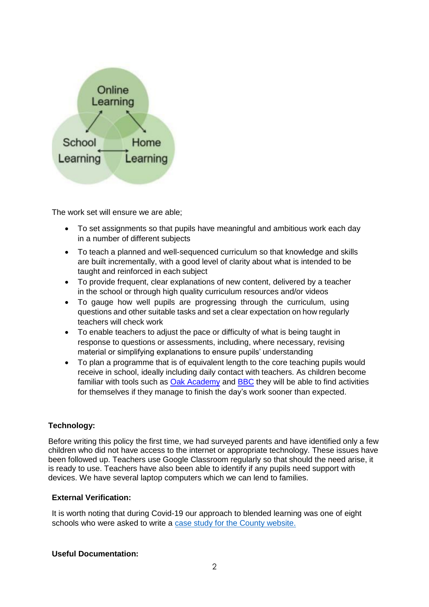

The work set will ensure we are able;

- To set assignments so that pupils have meaningful and ambitious work each day in a number of different subjects
- To teach a planned and well-sequenced curriculum so that knowledge and skills are built incrementally, with a good level of clarity about what is intended to be taught and reinforced in each subject
- To provide frequent, clear explanations of new content, delivered by a teacher in the school or through high quality curriculum resources and/or videos
- To gauge how well pupils are progressing through the curriculum, using questions and other suitable tasks and set a clear expectation on how regularly teachers will check work
- To enable teachers to adjust the pace or difficulty of what is being taught in response to questions or assessments, including, where necessary, revising material or simplifying explanations to ensure pupils' understanding
- To plan a programme that is of equivalent length to the core teaching pupils would receive in school, ideally including daily contact with teachers. As children become familiar with tools such as **Oak Academy** and **BBC** they will be able to find activities for themselves if they manage to finish the day's work sooner than expected.

### **Technology:**

Before writing this policy the first time, we had surveyed parents and have identified only a few children who did not have access to the internet or appropriate technology. These issues have been followed up. Teachers use Google Classroom regularly so that should the need arise, it is ready to use. Teachers have also been able to identify if any pupils need support with devices. We have several laptop computers which we can lend to families.

### **External Verification:**

It is worth noting that during Covid-19 our approach to blended learning was one of eight schools who were asked to write a case study for the County website.

#### **Useful Documentation:**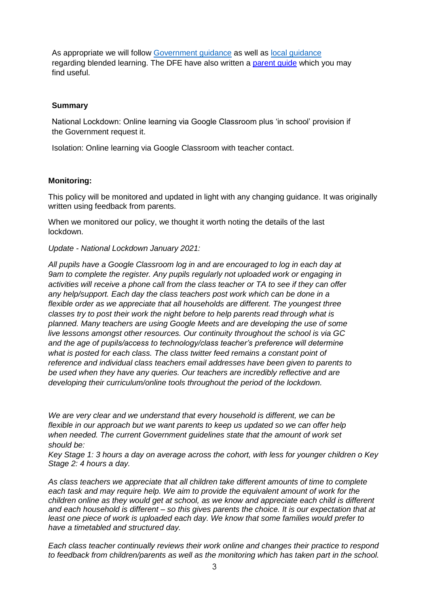As appropriate we will follow Government guidance as well as local guidance regarding blended learning. The DFE have also written a [parent guide](https://dfemedia.blog.gov.uk/2021/01/08/what-should-remote-education-look-like-how-can-your-child-learn-remotely-if-you-dont-have-a-laptop-we-answer-your-remote-learning-questions/?utm_medium=email&utm_source=govdelivery) which you may find useful.

## **Summary**

National Lockdown: Online learning via Google Classroom plus 'in school' provision if the Government request it.

Isolation: Online learning via Google Classroom with teacher contact.

### **Monitoring:**

This policy will be monitored and updated in light with any changing guidance. It was originally written using feedback from parents.

When we monitored our policy, we thought it worth noting the details of the last lockdown.

*Update - National Lockdown January 2021:* 

*All pupils have a Google Classroom log in and are encouraged to log in each day at 9am to complete the register. Any pupils regularly not uploaded work or engaging in activities will receive a phone call from the class teacher or TA to see if they can offer any help/support. Each day the class teachers post work which can be done in a flexible order as we appreciate that all households are different. The youngest three classes try to post their work the night before to help parents read through what is planned. Many teachers are using Google Meets and are developing the use of some live lessons amongst other resources. Our continuity throughout the school is via GC and the age of pupils/access to technology/class teacher's preference will determine what is posted for each class. The class twitter feed remains a constant point of reference and individual class teachers email addresses have been given to parents to be used when they have any queries. Our teachers are incredibly reflective and are developing their curriculum/online tools throughout the period of the lockdown.* 

*We are very clear and we understand that every household is different, we can be flexible in our approach but we want parents to keep us updated so we can offer help when needed. The current Government guidelines state that the amount of work set should be:* 

Key Stage 1: 3 hours a day on average across the cohort, with less for younger children o Key *Stage 2: 4 hours a day.*

*As class teachers we appreciate that all children take different amounts of time to complete each task and may require help. We aim to provide the equivalent amount of work for the children online as they would get at school, as we know and appreciate each child is different and each household is different – so this gives parents the choice. It is our expectation that at least one piece of work is uploaded each day. We know that some families would prefer to have a timetabled and structured day.*

*Each class teacher continually reviews their work online and changes their practice to respond to feedback from children/parents as well as the monitoring which has taken part in the school.*